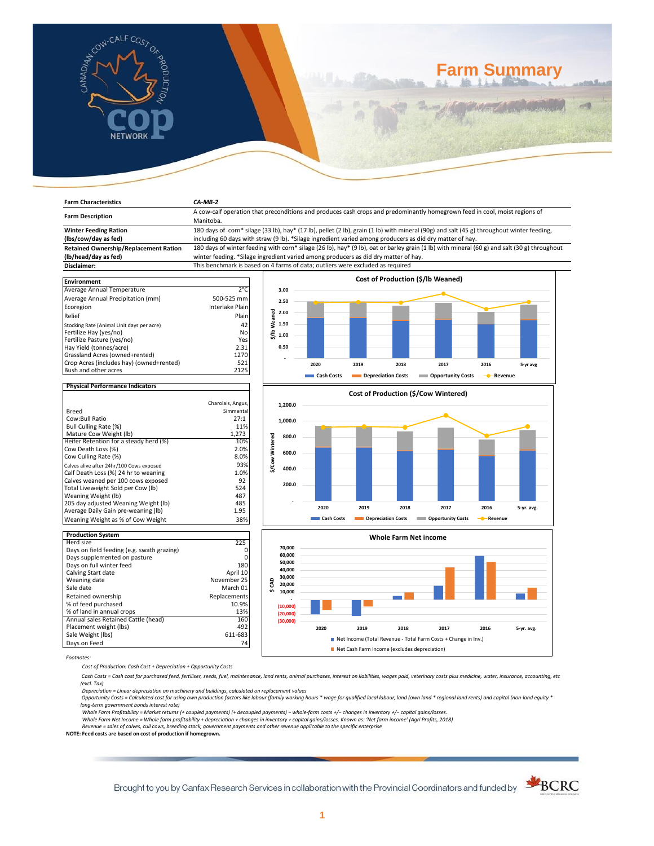

# **Farm Summary**

| <b>Farm Characteristics</b>                                                                                                                                    | $CA-MB-2$                                                                                                                                                                                                                                             |                                                                                                                                         |      |      |      |                                   |      |          |  |
|----------------------------------------------------------------------------------------------------------------------------------------------------------------|-------------------------------------------------------------------------------------------------------------------------------------------------------------------------------------------------------------------------------------------------------|-----------------------------------------------------------------------------------------------------------------------------------------|------|------|------|-----------------------------------|------|----------|--|
| <b>Farm Description</b>                                                                                                                                        |                                                                                                                                                                                                                                                       | A cow-calf operation that preconditions and produces cash crops and predominantly homegrown feed in cool, moist regions of<br>Manitoba. |      |      |      |                                   |      |          |  |
| <b>Winter Feeding Ration</b><br>(lbs/cow/day as fed)                                                                                                           | 180 days of corn* silage (33 lb), hay* (17 lb), pellet (2 lb), grain (1 lb) with mineral (90g) and salt (45 g) throughout winter feeding,<br>including 60 days with straw (9 lb). *Silage ingredient varied among producers as did dry matter of hay. |                                                                                                                                         |      |      |      |                                   |      |          |  |
| <b>Retained Ownership/Replacement Ration</b><br>(lb/head/day as fed)                                                                                           | 180 days of winter feeding with corn* silage (26 lb), hay* (9 lb), oat or barley grain (1 lb) with mineral (60 g) and salt (30 g) throughout<br>winter feeding. *Silage ingredient varied among producers as did dry matter of hay.                   |                                                                                                                                         |      |      |      |                                   |      |          |  |
| Disclaimer:                                                                                                                                                    | This benchmark is based on 4 farms of data; outliers were excluded as required                                                                                                                                                                        |                                                                                                                                         |      |      |      |                                   |      |          |  |
| <b>Environment</b>                                                                                                                                             |                                                                                                                                                                                                                                                       |                                                                                                                                         |      |      |      | Cost of Production (\$/lb Weaned) |      |          |  |
| Average Annual Temperature<br>Average Annual Precipitation (mm)<br>Ecoregion<br>Relief                                                                         | $2^{\circ}$ C<br>500-525 mm<br>Interlake Plain<br>Plain                                                                                                                                                                                               | 3.00<br>2.50<br>꿈<br>2.00                                                                                                               |      |      |      |                                   |      |          |  |
| Stocking Rate (Animal Unit days per acre)<br>Fertilize Hay (yes/no)<br>Fertilize Pasture (yes/no)<br>Hay Yield (tonnes/acre)<br>Grassland Acres (owned+rented) | 42<br>No<br>Yes<br>2.31<br>1270                                                                                                                                                                                                                       | å<br>1.50<br>\$/lb<br>1.00<br>0.50                                                                                                      |      |      |      |                                   |      |          |  |
| Crop Acres (includes hay) (owned+rented)<br>Bush and other acres                                                                                               | 521<br>2125                                                                                                                                                                                                                                           |                                                                                                                                         | 2020 | 2019 | 2018 | 2017                              | 2016 | 5-yr avg |  |

# **Physical Performance Indicators**

|                                          | Charolais, Angus, |
|------------------------------------------|-------------------|
| Breed                                    | Simmental         |
| Cow:Bull Ratio                           | 27:1              |
| Bull Culling Rate (%)                    | 11%               |
| Mature Cow Weight (Ib)                   | 1,273             |
| Heifer Retention for a steady herd (%)   | 10%               |
| Cow Death Loss (%)                       | 2.0%              |
| Cow Culling Rate (%)                     | 8.0%              |
| Calves alive after 24hr/100 Cows exposed | 93%               |
| Calf Death Loss (%) 24 hr to weaning     | 1.0%              |
| Calves weaned per 100 cows exposed       | 92                |
| Total Liveweight Sold per Cow (lb)       | 524               |
| Weaning Weight (lb)                      | 487               |
| 205 day adjusted Weaning Weight (lb)     | 485               |
| Average Daily Gain pre-weaning (lb)      | 1.95              |
| Weaning Weight as % of Cow Weight        | 38%               |

| <b>Production System</b>                   |              |
|--------------------------------------------|--------------|
| Herd size                                  | 225          |
| Days on field feeding (e.g. swath grazing) | Ω            |
| Days supplemented on pasture               | 0            |
| Days on full winter feed                   | 180          |
| Calving Start date                         | April 10     |
| Weaning date                               | November 25  |
| Sale date                                  | March 01     |
| Retained ownership                         | Replacements |
| % of feed purchased                        | 10.9%        |
| % of land in annual crops                  | 13%          |
| Annual sales Retained Cattle (head)        | 160          |
| Placement weight (lbs)                     | 492          |
| Sale Weight (lbs)                          | 611-683      |
| Days on Feed                               | 74           |







*Footnotes:*

*Cost of Production: Cash Cost + Depreciation + Opportunity Costs*

 *Cash Costs = Cash cost for purchased feed, fertiliser, seeds, fuel, maintenance, land rents, animal purchases, interest on liabilities, wages paid, veterinary costs plus medicine, water, insurance, accounting, etc (excl. Tax)* 

Depreciation = Linear depreciation on machinery and buildings, calculated on replacement values<br>Opportunity Costs = Calculated cost for using own production factors like labour (family working hours \* wage for qualified lo *long-term government bonds interest rate)* 

Whole Farm Profitability = Market returns (+ coupled payments) (+ decoupled payments) – whole-farm costs +/– changes in inventory +/– capital gains/losses.<br>Whole Farm Net Income = Whole farm profitability + depreciation +

*Revenue = sales of calves, cull cows, breeding stock, government payments and other revenue applicable to the specific enterprise* **NOTE: Feed costs are based on cost of production if homegrown.**

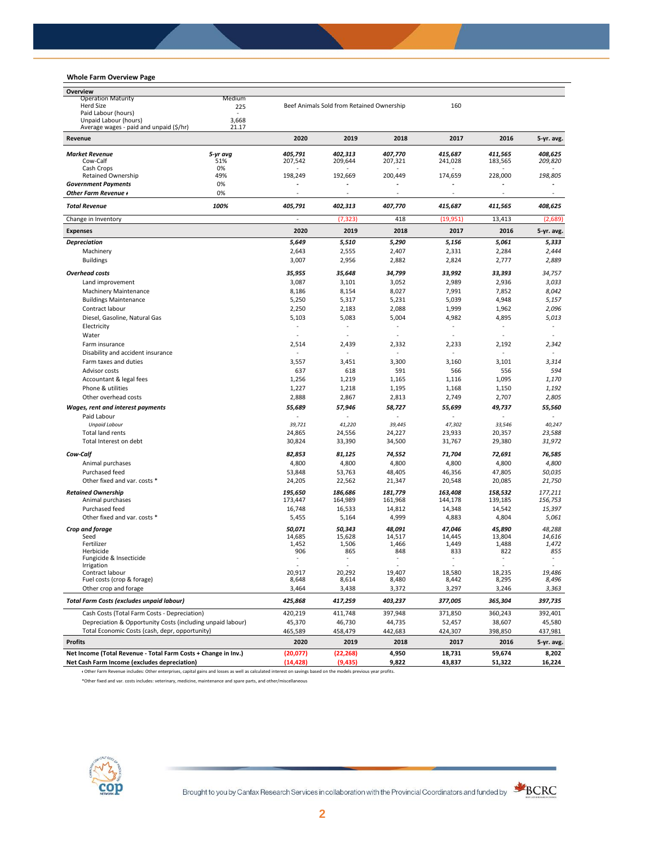## **Whole Farm Overview Page**

| Overview                                                       |            |                          |                                           |                          |                                 |              |                                 |
|----------------------------------------------------------------|------------|--------------------------|-------------------------------------------|--------------------------|---------------------------------|--------------|---------------------------------|
| <b>Operation Maturity</b>                                      | Medium     |                          |                                           |                          |                                 |              |                                 |
| <b>Herd Size</b>                                               | 225        |                          | Beef Animals Sold from Retained Ownership |                          | 160                             |              |                                 |
| Paid Labour (hours)<br>Unpaid Labour (hours)                   | ٠<br>3,668 |                          |                                           |                          |                                 |              |                                 |
| Average wages - paid and unpaid (\$/hr)                        | 21.17      |                          |                                           |                          |                                 |              |                                 |
| Revenue                                                        |            | 2020                     | 2019                                      | 2018                     | 2017                            | 2016         | 5-yr. avg.                      |
| <b>Market Revenue</b>                                          | 5-yr avg   | 405.791                  | 402,313                                   | 407,770                  | 415,687                         | 411.565      | 408,625                         |
| Cow-Calf                                                       | 51%        | 207,542                  | 209,644                                   | 207,321                  | 241,028                         | 183,565      | 209,820                         |
| Cash Crops                                                     | 0%         |                          |                                           |                          |                                 |              |                                 |
| <b>Retained Ownership</b>                                      | 49%        | 198,249                  | 192,669                                   | 200,449                  | 174,659                         | 228,000      | 198,805                         |
| <b>Government Payments</b>                                     | 0%         |                          |                                           |                          | ÷,                              |              |                                 |
| Other Farm Revenue +                                           | 0%         |                          | ÷,                                        |                          | $\sim$                          | ÷,           | $\overline{\phantom{a}}$        |
| <b>Total Revenue</b>                                           | 100%       | 405,791                  | 402,313                                   | 407,770                  | 415,687                         | 411,565      | 408,625                         |
| Change in Inventory                                            |            | ÷,                       | (7, 323)                                  | 418                      | (19, 951)                       | 13,413       | (2,689)                         |
| <b>Expenses</b>                                                |            | 2020                     | 2019                                      | 2018                     | 2017                            | 2016         | 5-yr. avg.                      |
| <b>Depreciation</b>                                            |            | 5,649                    | 5,510                                     | 5,290                    | 5,156                           | 5,061        | 5,333                           |
| Machinery                                                      |            | 2,643                    | 2,555                                     | 2,407                    | 2,331                           | 2,284        | 2,444                           |
| <b>Buildings</b>                                               |            | 3,007                    | 2,956                                     | 2,882                    | 2,824                           | 2,777        | 2,889                           |
| <b>Overhead costs</b>                                          |            | 35,955                   | 35,648                                    | 34,799                   | 33,992                          | 33,393       | 34,757                          |
| Land improvement                                               |            | 3,087                    | 3,101                                     | 3,052                    | 2,989                           | 2,936        | 3,033                           |
| <b>Machinery Maintenance</b>                                   |            | 8,186                    | 8,154                                     | 8,027                    | 7,991                           | 7,852        | 8,042                           |
| <b>Buildings Maintenance</b>                                   |            | 5,250                    | 5,317                                     | 5,231                    | 5,039                           | 4,948        | 5,157                           |
| Contract labour                                                |            | 2,250                    | 2,183                                     | 2,088                    | 1,999                           | 1,962        | 2,096                           |
| Diesel, Gasoline, Natural Gas                                  |            | 5,103                    | 5,083                                     | 5,004                    | 4,982                           | 4,895        | 5,013                           |
| Electricity                                                    |            | $\blacksquare$           | ÷,                                        | $\overline{\phantom{a}}$ | $\sim$                          | $\sim$       | $\blacksquare$                  |
| Water                                                          |            | ÷,                       | ä,                                        |                          | ÷,                              |              | ä,                              |
| Farm insurance                                                 |            | 2,514                    | 2,439                                     | 2,332                    | 2,233                           | 2,192        | 2,342                           |
| Disability and accident insurance                              |            | $\sim$                   |                                           |                          | ÷,                              |              | $\sim$                          |
| Farm taxes and duties                                          |            | 3,557                    | 3,451                                     | 3,300                    | 3,160                           | 3,101        | 3,314                           |
| Advisor costs                                                  |            | 637                      | 618                                       | 591                      | 566                             | 556          | 594                             |
| Accountant & legal fees                                        |            | 1,256                    | 1,219                                     | 1,165                    | 1,116                           | 1,095        | 1,170                           |
| Phone & utilities                                              |            | 1,227                    | 1,218                                     | 1,195                    | 1,168                           | 1,150        | 1,192                           |
| Other overhead costs                                           |            | 2,888                    | 2,867                                     | 2,813                    | 2,749                           | 2,707        | 2,805                           |
|                                                                |            |                          |                                           |                          |                                 |              |                                 |
| Wages, rent and interest payments                              |            | 55,689                   | 57,946                                    | 58,727                   | 55,699                          | 49,737       | 55,560                          |
| Paid Labour<br><b>Unpaid Labour</b>                            |            | 39,721                   | 41,220                                    | 39,445                   | 47,302                          | 33,546       | 40,247                          |
| <b>Total land rents</b>                                        |            | 24,865                   | 24,556                                    | 24,227                   | 23,933                          | 20,357       | 23,588                          |
| Total Interest on debt                                         |            | 30,824                   | 33,390                                    | 34,500                   | 31,767                          | 29,380       | 31,972                          |
|                                                                |            |                          |                                           |                          |                                 |              |                                 |
| Cow-Calf                                                       |            | 82,853                   | 81,125                                    | 74,552                   | 71,704                          | 72,691       | 76,585                          |
| Animal purchases                                               |            | 4,800                    | 4,800                                     | 4,800                    | 4,800                           | 4,800        | 4,800                           |
| Purchased feed                                                 |            | 53,848                   | 53,763                                    | 48,405                   | 46,356                          | 47,805       | 50,035                          |
| Other fixed and var. costs *                                   |            | 24,205                   | 22,562                                    | 21,347                   | 20,548                          | 20,085       | 21,750                          |
| <b>Retained Ownership</b>                                      |            | 195,650                  | 186,686                                   | 181,779                  | 163,408                         | 158,532      | 177,211                         |
| Animal purchases                                               |            | 173,447                  | 164,989                                   | 161,968                  | 144,178                         | 139,185      | 156,753                         |
| Purchased feed                                                 |            | 16,748                   | 16,533                                    | 14,812                   | 14,348                          | 14,542       | 15,397                          |
| Other fixed and var. costs *                                   |            | 5,455                    | 5,164                                     | 4,999                    | 4,883                           | 4,804        | 5,061                           |
| Crop and forage                                                |            | 50,071                   | 50,343                                    | 48,091                   | 47,046                          | 45,890       | 48,288                          |
| Seed                                                           |            | 14,685                   | 15,628                                    | 14,517                   | 14,445                          | 13,804       | 14,616                          |
| Fertilizer                                                     |            | 1,452<br>906             | 1,506                                     | 1,466<br>848             | 1,449                           | 1,488<br>822 | 1,472                           |
| Herbicide<br>Fungicide & Insecticide                           |            | $\overline{\phantom{a}}$ | 865<br>$\overline{\phantom{a}}$           |                          | 833<br>$\overline{\phantom{a}}$ | $\sim$       | 855<br>$\overline{\phantom{a}}$ |
| <b>Irrigation</b>                                              |            |                          |                                           |                          |                                 |              |                                 |
| Contract labour                                                |            | 20,917                   | 20,292                                    | 19,407                   | 18,580                          | 18,235       | 19,486                          |
| Fuel costs (crop & forage)                                     |            | 8,648                    | 8,614                                     | 8,480                    | 8,442                           | 8,295        | 8,496                           |
| Other crop and forage                                          |            | 3,464                    | 3,438                                     | 3,372                    | 3,297                           | 3,246        | 3,363                           |
| Total Farm Costs (excludes unpaid labour)                      |            | 425,868                  | 417,259                                   | 403,237                  | 377,005                         | 365,304      | 397,735                         |
| Cash Costs (Total Farm Costs - Depreciation)                   |            | 420,219                  | 411,748                                   | 397,948                  | 371,850                         | 360,243      | 392,401                         |
| Depreciation & Opportunity Costs (including unpaid labour)     |            | 45,370                   | 46,730                                    | 44,735                   | 52,457                          | 38,607       | 45,580                          |
| Total Economic Costs (cash, depr, opportunity)                 |            | 465,589                  | 458,479                                   | 442,683                  | 424,307                         | 398,850      | 437,981                         |
| <b>Profits</b>                                                 |            | 2020                     | 2019                                      | 2018                     | 2017                            | 2016         | 5-yr. avg.                      |
| Net Income (Total Revenue - Total Farm Costs + Change in Inv.) |            | (20,077)                 | (22, 268)                                 | 4,950                    | 18,731                          | 59,674       | 8,202                           |
| Net Cash Farm Income (excludes depreciation)                   |            | (14, 428)                | (9, 435)                                  | 9,822                    | 43,837                          | 51,322       | 16,224                          |

ᵻ Other Farm Revenue includes: Other enterprises, capital gains and losses as well as calculated interest on savings based on the models previous year profits.

\*Other fixed and var. costs includes: veterinary, medicine, maintenance and spare parts, and other/miscellaneous

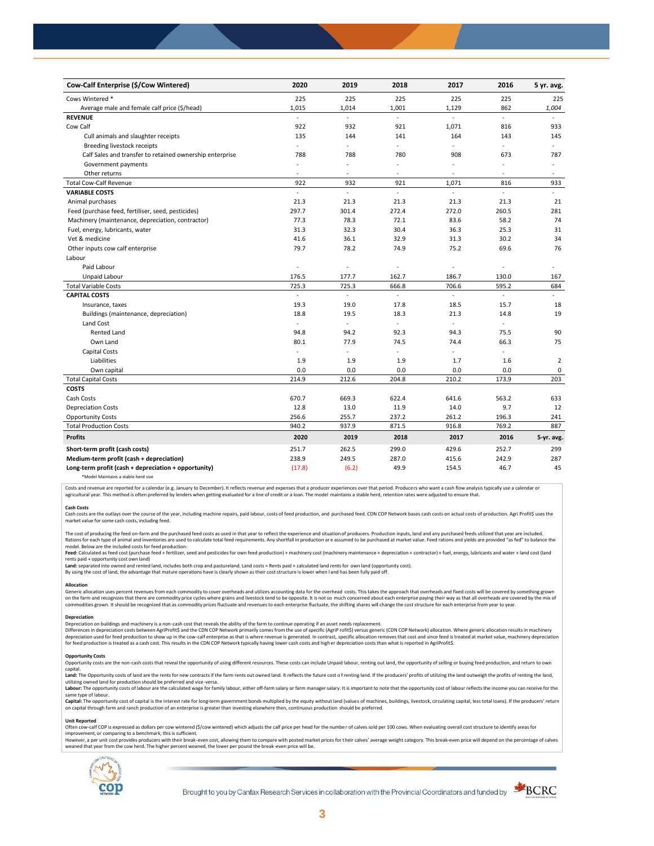| Cow-Calf Enterprise (\$/Cow Wintered)                    | 2020                     | 2019           | 2018           | 2017         | 2016           | 5 yr. avg.     |
|----------------------------------------------------------|--------------------------|----------------|----------------|--------------|----------------|----------------|
| Cows Wintered *                                          | 225                      | 225            | 225            | 225          | 225            | 225            |
| Average male and female calf price (\$/head)             | 1,015                    | 1,014          | 1,001          | 1,129        | 862            | 1,004          |
| <b>REVENUE</b>                                           | ä,                       | L.             | ä,             | ä,           | $\blacksquare$ |                |
| Cow Calf                                                 | 922                      | 932            | 921            | 1,071        | 816            | 933            |
| Cull animals and slaughter receipts                      | 135                      | 144            | 141            | 164          | 143            | 145            |
| Breeding livestock receipts                              | ÷.                       | ä,             | ÷.             | ÷.           | ÷,             | $\sim$         |
| Calf Sales and transfer to retained ownership enterprise | 788                      | 788            | 780            | 908          | 673            | 787            |
| Government payments                                      | $\sim$                   | ÷,             | ÷,             | $\sim$       | ÷,             | $\blacksquare$ |
| Other returns                                            | $\overline{\phantom{a}}$ | ٠              | $\overline{a}$ | $\sim$       | ÷,             | $\sim$         |
| <b>Total Cow-Calf Revenue</b>                            | 922                      | 932            | 921            | 1,071        | 816            | 933            |
| <b>VARIABLE COSTS</b>                                    | ä,                       | L.             | L.             | ä,           | ä,             | ÷.             |
| Animal purchases                                         | 21.3                     | 21.3           | 21.3           | 21.3         | 21.3           | 21             |
| Feed (purchase feed, fertiliser, seed, pesticides)       | 297.7                    | 301.4          | 272.4          | 272.0        | 260.5          | 281            |
| Machinery (maintenance, depreciation, contractor)        | 77.3                     | 78.3           | 72.1           | 83.6         | 58.2           | 74             |
| Fuel, energy, lubricants, water                          | 31.3                     | 32.3           | 30.4           | 36.3         | 25.3           | 31             |
| Vet & medicine                                           | 41.6                     | 36.1           | 32.9           | 31.3         | 30.2           | 34             |
| Other inputs cow calf enterprise                         | 79.7                     | 78.2           | 74.9           | 75.2         | 69.6           | 76             |
| Labour                                                   |                          |                |                |              |                |                |
| Paid Labour                                              | L.                       | ÷,             | ÷,             | ÷            | ÷,             |                |
| Unpaid Labour                                            | 176.5                    | 177.7          | 162.7          | 186.7        | 130.0          | 167            |
| <b>Total Variable Costs</b>                              | 725.3                    | 725.3          | 666.8          | 706.6        | 595.2          | 684            |
| <b>CAPITAL COSTS</b>                                     |                          |                |                |              |                |                |
| Insurance, taxes                                         | 19.3                     | 19.0           | 17.8           | 18.5         | 15.7           | 18             |
| Buildings (maintenance, depreciation)                    | 18.8                     | 19.5           | 18.3           | 21.3         | 14.8           | 19             |
| Land Cost                                                | ä,                       | $\blacksquare$ | ÷,             | ÷.           |                |                |
| <b>Rented Land</b>                                       | 94.8                     | 94.2           | 92.3           | 94.3         | 75.5           | 90             |
| Own Land                                                 | 80.1                     | 77.9           | 74.5           | 74.4         | 66.3           | 75             |
| Capital Costs                                            | ÷,                       | ÷              | ÷,             | $\mathbf{r}$ | ä,             |                |
| Liabilities                                              | 1.9                      | 1.9            | 1.9            | 1.7          | 1.6            | $\overline{2}$ |
| Own capital                                              | 0.0                      | 0.0            | 0.0            | 0.0          | 0.0            | 0              |
| <b>Total Capital Costs</b>                               | 214.9                    | 212.6          | 204.8          | 210.2        | 173.9          | 203            |
| <b>COSTS</b>                                             |                          |                |                |              |                |                |
| Cash Costs                                               | 670.7                    | 669.3          | 622.4          | 641.6        | 563.2          | 633            |
| <b>Depreciation Costs</b>                                | 12.8                     | 13.0           | 11.9           | 14.0         | 9.7            | 12             |
| <b>Opportunity Costs</b>                                 | 256.6                    | 255.7          | 237.2          | 261.2        | 196.3          | 241            |
| <b>Total Production Costs</b>                            | 940.2                    | 937.9          | 871.5          | 916.8        | 769.2          | 887            |
| <b>Profits</b>                                           | 2020                     | 2019           | 2018           | 2017         | 2016           | 5-yr. avg.     |
| Short-term profit (cash costs)                           | 251.7                    | 262.5          | 299.0          | 429.6        | 252.7          | 299            |
| Medium-term profit (cash + depreciation)                 | 238.9                    | 249.5          | 287.0          | 415.6        | 242.9          | 287            |
| Long-term profit (cash + depreciation + opportunity)     | (17.8)                   | (6.2)          | 49.9           | 154.5        | 46.7           | 45             |
|                                                          |                          |                |                |              |                |                |

\*Model Maintains a stable herd size

Costs and revenue are reported for a calendar (e.g. January to December). It reflects revenue and expenses that a producer experiences over that period. Producers who want a cash flow analysis typically use a calendar or agricultural year. This method is often preferred by lenders when getting evaluated for a line of credit or a loan. The model maintains a stable herd, retention rates were adjusted to ensure that

C<mark>ash Costs</mark><br>Cash costs are the outlays over the course of the year, including machine repairs, paid labour, costs of feed production, and purchased feed. CDN COP Network bases cash costs on actual costs of production. Agr market value for some cash costs, including feed.

The cost of producing the feed on-farm and the purchased feed costs as used in that year to reflect the experience and situation of producers. Production inputs, land and any purchased feeds utilized that year are included model. Below are the included costs for feed production:

moder.outwhat was made used to receip would continuour.<br>**Feed:** Calculated as feed cost (purchase feed + fertilizer, seed and pesticides for own feed production) + machinery cost (machinery maintenance + depreciation + con rents paid + opportunity cost own land)

**Land:** separated into owned and rented land, includes both crop and pastureland. Land costs = Rents paid + calculated land rents for own land (opportunity cost).

By using the cost of land, the advantage that mature operations have is clearly shown as their cost structure is lower when l and has been fully paid off.

### **Allocation**

Generic allocation uses percent revenues from each commodity to cover overheads and utilizes accounting data for the overhead costs. This takes the approach that overheads and fixed costs will be covered by something grown commodities grown. It should be recognized that as commodity prices fluctuate and revenues to each enterprise fluctuate, the shifting shares will change the cost structure for each enterprise from year to year.

## **Depreciation**

Depreciation on buildings and machinery is a non-cash cost that reveals the ability of the farm to continue operating if an asset needs replacement. Differences in depreciation costs between AgriProfit\$ and the CDN COP Network primarily comes from the use of specific (AgriP rofit\$) versus generic (CDN COP Network) allocation. Where generic allocation results in machine

#### **Opportunity Costs**

Provincing COSS are the non-cash costs that reveal the opportunity of using different resources. These costs can include Unpaid labour, renting out land, the opportunity of selling or buying feed production, and return to capital.

required.<br>Land: The Opportunity costs of land are the rents for new contracts if the farm rents out owned land. It reflects the future cost of renting land. If the producers' profits of utilizing the land outweigh the prof utilizing owned land for production should be preferred and vice-versa.<br>**Labour:** The opportunity costs of labour are the calculated wage for family labour, either off-farm salary or farm manager salary. It is important to

same type of labour.

**Capita**l: The opportunity cost of capital is the interest rate for long-term government bonds multiplied by the equity without land (values of machines, buildings, livestock, circulating capital, less total loans). If the

#### **Unit Reported**

Often cow-calf COP is expressed as dollars per cow wintered (\$/cow wintered) which adjusts the calf price per head for the number of calves sold per 100 cows. When evaluating overall cost structure to identify areas for<br>im

however..export of the structure with the structure of the break-even cost. allowing them to compare with posted market prices for their calves' average weight category. This break-even price will depend on the percentage weaned that year from the cow herd. The higher percent weaned, the lower per pound the break -even price will be.



Brought to you by Canfax Research Services in collaboration with the Provincial Coordinators and funded by

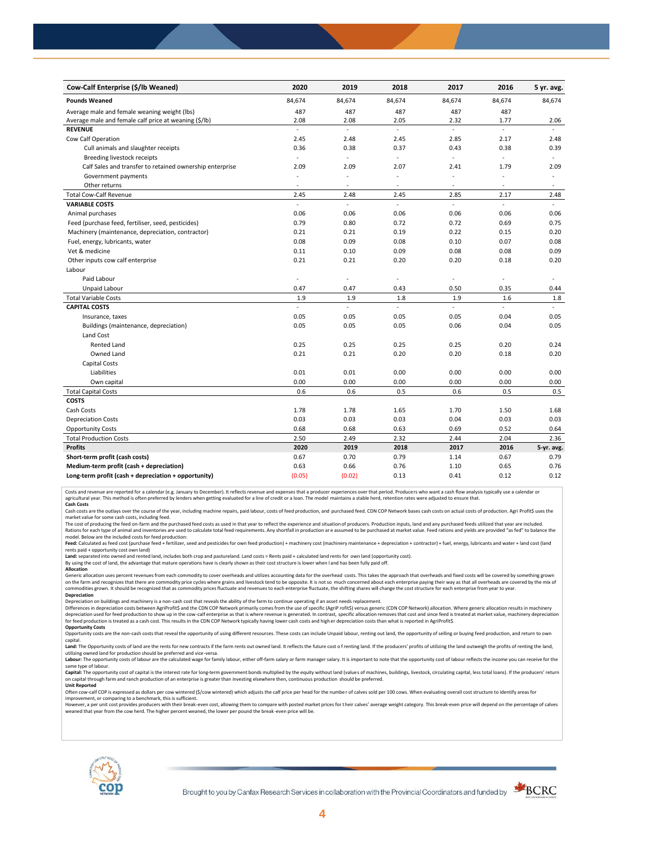| Cow-Calf Enterprise (\$/lb Weaned)                       | 2020                     | 2019           | 2018           | 2017                     | 2016           | 5 yr. avg.               |
|----------------------------------------------------------|--------------------------|----------------|----------------|--------------------------|----------------|--------------------------|
| <b>Pounds Weaned</b>                                     | 84,674                   | 84,674         | 84,674         | 84,674                   | 84,674         | 84,674                   |
| Average male and female weaning weight (lbs)             | 487                      | 487            | 487            | 487                      | 487            |                          |
| Average male and female calf price at weaning (\$/lb)    | 2.08                     | 2.08           | 2.05           | 2.32                     | 1.77           | 2.06                     |
| <b>REVENUE</b>                                           | $\overline{\phantom{a}}$ | ä,             | $\overline{a}$ | ÷.                       | $\overline{a}$ |                          |
| Cow Calf Operation                                       | 2.45                     | 2.48           | 2.45           | 2.85                     | 2.17           | 2.48                     |
| Cull animals and slaughter receipts                      | 0.36                     | 0.38           | 0.37           | 0.43                     | 0.38           | 0.39                     |
| Breeding livestock receipts                              | $\overline{\phantom{a}}$ | $\blacksquare$ | $\blacksquare$ | ä,                       | ÷.             | $\omega$                 |
| Calf Sales and transfer to retained ownership enterprise | 2.09                     | 2.09           | 2.07           | 2.41                     | 1.79           | 2.09                     |
| Government payments                                      |                          | ÷,             | ä,             | ä,                       | ÷,             | $\overline{\phantom{a}}$ |
| Other returns                                            | $\overline{\phantom{a}}$ | ٠              | ٠              | $\overline{\phantom{a}}$ | $\sim$         | $\overline{\phantom{a}}$ |
| <b>Total Cow-Calf Revenue</b>                            | 2.45                     | 2.48           | 2.45           | 2.85                     | 2.17           | 2.48                     |
| <b>VARIABLE COSTS</b>                                    |                          | L.             | L.             | L.                       | L.             |                          |
| Animal purchases                                         | 0.06                     | 0.06           | 0.06           | 0.06                     | 0.06           | 0.06                     |
| Feed (purchase feed, fertiliser, seed, pesticides)       | 0.79                     | 0.80           | 0.72           | 0.72                     | 0.69           | 0.75                     |
| Machinery (maintenance, depreciation, contractor)        | 0.21                     | 0.21           | 0.19           | 0.22                     | 0.15           | 0.20                     |
| Fuel, energy, lubricants, water                          | 0.08                     | 0.09           | 0.08           | 0.10                     | 0.07           | 0.08                     |
| Vet & medicine                                           | 0.11                     | 0.10           | 0.09           | 0.08                     | 0.08           | 0.09                     |
| Other inputs cow calf enterprise                         | 0.21                     | 0.21           | 0.20           | 0.20                     | 0.18           | 0.20                     |
| Labour                                                   |                          |                |                |                          |                |                          |
| Paid Labour                                              | $\sim$                   | ä,             | ä,             | ä,                       | ÷,             |                          |
| Unpaid Labour                                            | 0.47                     | 0.47           | 0.43           | 0.50                     | 0.35           | 0.44                     |
| <b>Total Variable Costs</b>                              | 1.9                      | 1.9            | 1.8            | 1.9                      | 1.6            | 1.8                      |
| <b>CAPITAL COSTS</b>                                     | $\mathcal{L}$            | L.             | ÷.             | L.                       | ÷.             | u.                       |
| Insurance, taxes                                         | 0.05                     | 0.05           | 0.05           | 0.05                     | 0.04           | 0.05                     |
| Buildings (maintenance, depreciation)                    | 0.05                     | 0.05           | 0.05           | 0.06                     | 0.04           | 0.05                     |
| Land Cost                                                |                          |                |                |                          |                |                          |
| <b>Rented Land</b>                                       | 0.25                     | 0.25           | 0.25           | 0.25                     | 0.20           | 0.24                     |
| Owned Land                                               | 0.21                     | 0.21           | 0.20           | 0.20                     | 0.18           | 0.20                     |
| <b>Capital Costs</b>                                     |                          |                |                |                          |                |                          |
| Liabilities                                              | 0.01                     | 0.01           | 0.00           | 0.00                     | 0.00           | 0.00                     |
| Own capital                                              | 0.00                     | 0.00           | 0.00           | 0.00                     | 0.00           | 0.00                     |
| <b>Total Capital Costs</b>                               | 0.6                      | 0.6            | 0.5            | 0.6                      | 0.5            | 0.5                      |
| <b>COSTS</b>                                             |                          |                |                |                          |                |                          |
| Cash Costs                                               | 1.78                     | 1.78           | 1.65           | 1.70                     | 1.50           | 1.68                     |
| <b>Depreciation Costs</b>                                | 0.03                     | 0.03           | 0.03           | 0.04                     | 0.03           | 0.03                     |
| <b>Opportunity Costs</b>                                 | 0.68                     | 0.68           | 0.63           | 0.69                     | 0.52           | 0.64                     |
| <b>Total Production Costs</b>                            | 2.50                     | 2.49           | 2.32           | 2.44                     | 2.04           | 2.36                     |
| <b>Profits</b>                                           | 2020                     | 2019           | 2018           | 2017                     | 2016           | 5-yr. avg.               |
| Short-term profit (cash costs)                           | 0.67                     | 0.70           | 0.79           | 1.14                     | 0.67           | 0.79                     |
| Medium-term profit (cash + depreciation)                 | 0.63                     | 0.66           | 0.76           | 1.10                     | 0.65           | 0.76                     |
| Long-term profit (cash + depreciation + opportunity)     | (0.05)                   | (0.02)         | 0.13           | 0.41                     | 0.12           | 0.12                     |

Costs and revenue are reported for a calendar (e.g. January to December). It reflects revenue and expenses that a producer experiences over that period. Producers who want a cash flow analysis typically use a calendar or<br>a

cash costs are the outlays over the course of the year, including machine repairs, paid labour, costs of feed production, and purchased feed. CDN COP Network bases cash costs on actual costs of production. Agri Profit\$ use market value for some cash costs, including feed.

The cost of producing the feed on-farm and the purchased feed costs as used in that year to reflect the experience and situation of producers. Production inputs, land and any purchased feeds utilized that year are included model. Below are the included costs for feed production:

Feed: Calculated as feed cost (purchase feed + fertilizer, seed and pesticides for own feed production) + machinery cost (machinery maintenance + depreciation + contractor) + fuel, energy, lubricants and water + land cost

Land: separated into owned and rented land, includes both crop and pastureland. Land costs = Rents paid + calculated land rents for own land (opportunity cost).

By using the cost of land, the advantage that mature operations have is clearly shown as their cost structure is lower when l and has been fully paid off. **Allocation**

Generic allocation uses percent revenues from each commodity to cover overheads and utilizes accounting data for the overhead costs. This takes the approach that overheads and fixed costs will be covered by something grown on the farm and recognizes that there are commodity price cycles where grains and livestock tend to be opposite. It is not so much concerned about each enterprise paying their way as that all overheads are covered by the m **Depreciation**

Depreciation on buildings and machinery is a non-cash cost that reveals the ability of the farm to continue operating if an asset needs replacement.

Differences in depreciation costs between AgriProfit\$ and the CDN COP Network primarily comes from the use of specific (AgriP rofit\$) versus generic (CDN COP Network) allocation. Where generic allocation results in machine

## **Opportunity Costs**

Opportunity costs are the non-cash costs that reveal the opportunity of using different resources. These costs can include Unpaid labour, renting out land, the opportunity of selling or buying feed production, and return t Land: The Opportunity costs of land are the rents for new contracts if the farm rents out owned land. It reflects the future cost of renting land. If the producers' profits of utilizing the land outweigh the profits of ren

utilizing owned land for production should be preferred and vice-versa.<br>**Labour:** The opportunity costs of labour are the calculated wage for family labour, either off-farm salary or farm manager salary. It is important to same type of labour.

Capital: The opportunity cost of capital is the interest rate for long-term government bonds multiplied by the equity without land (values of machines, buildings, livestock, circulating capital, less total loans). If the p on capital through farm and ranch production of an enterprise is greater than investing elsewhere then, continuous production should be preferred. **Unit Reported**

Often cow-calf COP is expressed as dollars per cow wintered (\$/cow wintered) which adjusts the calf price per head for the numbe r of calves sold per 100 cows. When evaluating overall cost structure to identify areas for

improvement, or comparing to a benchmark, this is sufficient.<br>However, a per unit cost provides producers with their break-even cost, allowing them to compare with posted market prices for their calves' average weight cate weaned that year from the cow herd. The higher percent weaned, the lower per pound the break -even price will be.



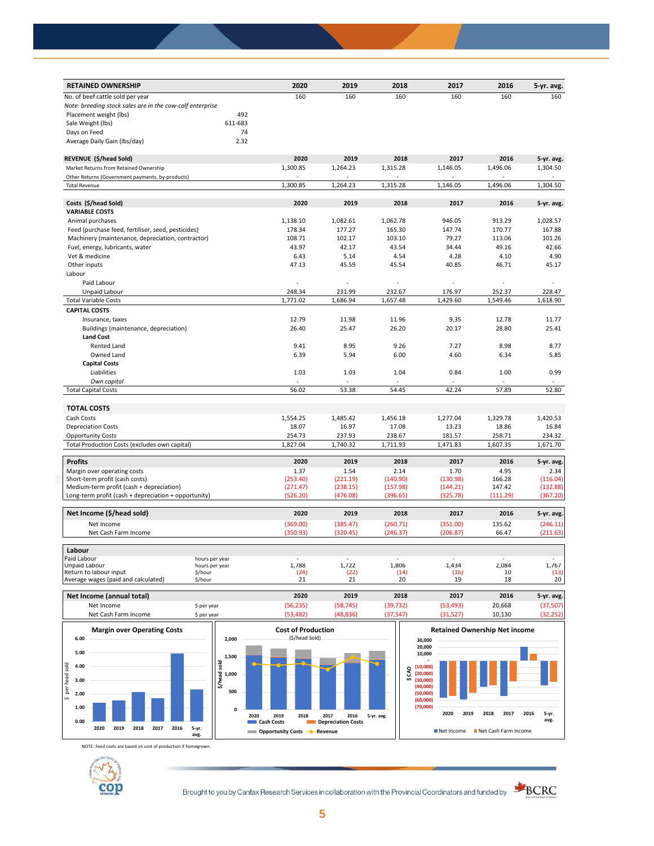| <b>RETAINED OWNERSHIP</b>                                 |                                  | 2020      | 2019      | 2018      | 2017           | 2016     | 5-yr. avg. |
|-----------------------------------------------------------|----------------------------------|-----------|-----------|-----------|----------------|----------|------------|
| No. of beef cattle sold per year                          |                                  | 160       | 160       | 160       | 160            | 160      | 160        |
| Note: breeding stock sales are in the cow-calf enterprise |                                  |           |           |           |                |          |            |
| Placement weight (lbs)                                    | 492                              |           |           |           |                |          |            |
| Sale Weight (lbs)                                         | 611-683                          |           |           |           |                |          |            |
| Days on Feed                                              | 74                               |           |           |           |                |          |            |
| Average Daily Gain (Ibs/day)                              | 2.32                             |           |           |           |                |          |            |
| REVENUE (\$/head Sold)                                    |                                  | 2020      | 2019      | 2018      | 2017           | 2016     | 5-yr. avg. |
| Market Returns from Retained Ownership                    |                                  | 1,300.85  | 1,264.23  | 1,315.28  | 1,146.05       | 1,496.06 | 1,304.50   |
| Other Returns (Government payments, by-products)          |                                  | ÷.        |           |           | $\overline{a}$ |          |            |
| <b>Total Revenue</b>                                      |                                  | 1,300.85  | 1,264.23  | 1,315.28  | 1,146.05       | 1,496.06 | 1,304.50   |
| Costs (\$/head Sold)                                      |                                  | 2020      | 2019      | 2018      | 2017           | 2016     | 5-yr. avg. |
| <b>VARIABLE COSTS</b>                                     |                                  |           |           |           |                |          |            |
| Animal purchases                                          |                                  | 1,138.10  | 1,082.61  | 1,062.78  | 946.05         | 913.29   | 1,028.57   |
| Feed (purchase feed, fertiliser, seed, pesticides)        |                                  | 178.34    | 177.27    | 165.30    | 147.74         | 170.77   | 167.88     |
| Machinery (maintenance, depreciation, contractor)         |                                  | 108.71    | 102.17    | 103.10    | 79.27          | 113.06   | 101.26     |
| Fuel, energy, lubricants, water                           |                                  | 43.97     | 42.17     | 43.54     | 34.44          | 49.16    | 42.66      |
| Vet & medicine                                            |                                  | 6.43      | 5.14      | 4.54      | 4.28           | 4.10     | 4.90       |
| Other inputs                                              |                                  | 47.13     | 45.59     | 45.54     | 40.85          | 46.71    | 45.17      |
| Labour                                                    |                                  |           |           |           |                |          |            |
| Paid Labour                                               |                                  |           |           |           |                |          |            |
| Unpaid Labour                                             |                                  | 248.34    | 231.99    | 232.67    | 176.97         | 252.37   | 228.47     |
| <b>Total Variable Costs</b>                               |                                  | 1,771.02  | 1,686.94  | 1,657.48  | 1,429.60       | 1,549.46 | 1,618.90   |
| <b>CAPITAL COSTS</b>                                      |                                  |           |           |           |                |          |            |
| Insurance, taxes                                          |                                  | 12.79     | 11.98     | 11.96     | 9.35           | 12.78    | 11.77      |
| Buildings (maintenance, depreciation)                     |                                  | 26.40     | 25.47     | 26.20     | 20.17          | 28.80    | 25.41      |
| <b>Land Cost</b>                                          |                                  |           |           |           |                |          |            |
| Rented Land                                               |                                  | 9.41      | 8.95      | 9.26      | 7.27           | 8.98     | 8.77       |
| Owned Land                                                |                                  | 6.39      | 5.94      | 6.00      | 4.60           | 6.34     | 5.85       |
| <b>Capital Costs</b>                                      |                                  |           |           |           |                |          |            |
| Liabilities                                               |                                  | 1.03      | 1.03      | 1.04      | 0.84           | 1.00     | 0.99       |
| Own capital                                               |                                  |           |           |           |                |          |            |
| <b>Total Capital Costs</b>                                |                                  | 56.02     | 53.38     | 54.45     | 42.24          | 57.89    | 52.80      |
|                                                           |                                  |           |           |           |                |          |            |
| <b>TOTAL COSTS</b>                                        |                                  |           |           |           |                |          |            |
| Cash Costs                                                |                                  | 1,554.25  | 1,485.42  | 1,456.18  | 1,277.04       | 1,329.78 | 1,420.53   |
| <b>Depreciation Costs</b>                                 |                                  | 18.07     | 16.97     | 17.08     | 13.23          | 18.86    | 16.84      |
| <b>Opportunity Costs</b>                                  |                                  | 254.73    | 237.93    | 238.67    | 181.57         | 258.71   | 234.32     |
| Total Production Costs (excludes own capital)             |                                  | 1,827.04  | 1,740.32  | 1,711.93  | 1,471.83       | 1,607.35 | 1,671.70   |
| <b>Profits</b>                                            |                                  | 2020      | 2019      | 2018      | 2017           | 2016     | 5-yr. avg. |
| Margin over operating costs                               |                                  | 1.37      | 1.54      | 2.14      | 1.70           | 4.95     | 2.34       |
| Short-term profit (cash costs)                            |                                  | (253.40)  | (221.19)  | (140.90)  | (130.98)       | 166.28   | (116.04)   |
| Medium-term profit (cash + depreciation)                  |                                  | (271.47)  | (238.15)  | (157.98)  | (144.21)       | 147.42   | (132.88)   |
| Long-term profit (cash + depreciation + opportunity)      |                                  | (526.20)  | (476.08)  | (396.65)  | (325.78)       | (111.29) | (367.20)   |
| Net Income (\$/head sold)                                 |                                  | 2020      | 2019      | 2018      | 2017           | 2016     | 5-yr. avg. |
| Net Income                                                |                                  | (369.00)  | (385.47)  | (260.71)  | (351.00)       | 135.62   | (246.11)   |
| Net Cash Farm Income                                      |                                  | (350.93)  | (320.45)  | (246.37)  | (206.87)       | 66.47    | (211.63)   |
|                                                           |                                  |           |           |           |                |          |            |
| Labour                                                    |                                  |           |           |           |                |          |            |
| Paid Labour<br>Unpaid Labour                              | hours per year<br>hours per year | 1,788     | 1,722     | 1,806     | 1,434          | 2,084    | 1,767      |
| Return to labour input                                    | \$/hour                          | (24)      | (22)      | (14)      | (16)           | 10       | (13)       |
| Average wages (paid and calculated)                       | \$/hour                          | 21        | 21        | 20        | 19             | 18       | 20         |
| Net Income (annual total)                                 |                                  | 2020      | 2019      | 2018      | 2017           | 2016     | 5-yr. avg. |
| Net Income                                                | \$ per year                      | (56, 235) | (58, 745) | (39, 732) | (53, 493)      | 20,668   | (37, 507)  |
|                                                           |                                  |           |           |           |                |          |            |



NOTE: Feed costs are based on cost of production if homegrown.



Brought to you by Canfax Research Services in collaboration with the Provincial Coordinators and funded by **SCRC** 



**avg.**